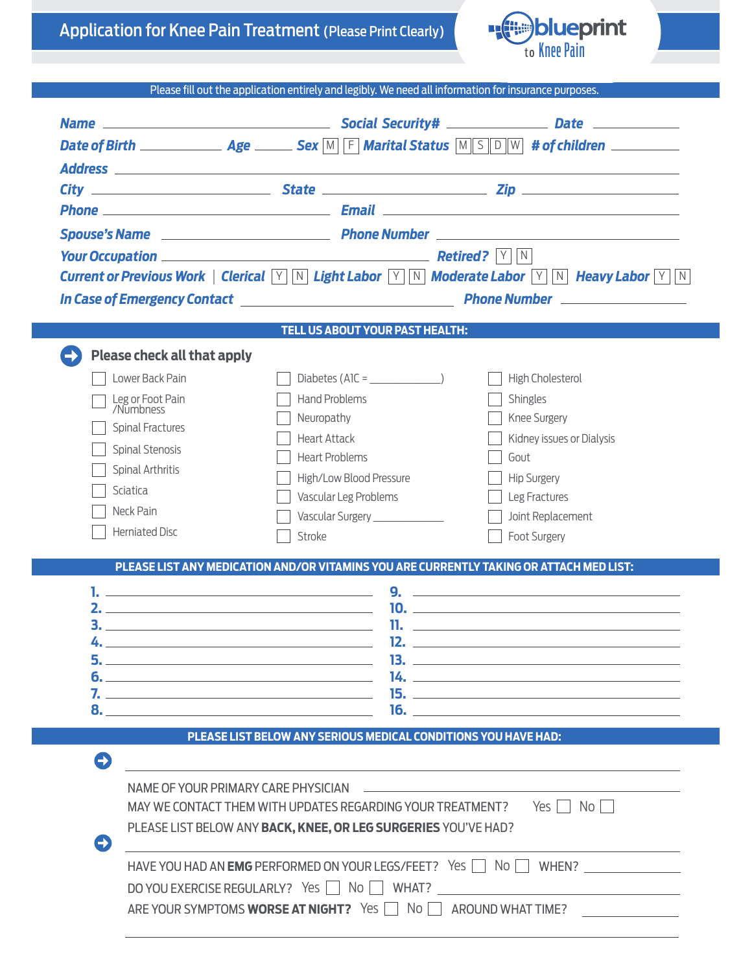| <b>Application for Knee Pain Treatment (Please Print Clearly)</b> |  |
|-------------------------------------------------------------------|--|
|-------------------------------------------------------------------|--|



Please fill out the application entirely and legibly. We need all information for insurance purposes.

|                                                                        |                                                                | Date of Birth $\Box$ Age $\Box$ Sex M F Marital Status M S D W # of children $\Box$                                            |
|------------------------------------------------------------------------|----------------------------------------------------------------|--------------------------------------------------------------------------------------------------------------------------------|
|                                                                        |                                                                |                                                                                                                                |
|                                                                        |                                                                |                                                                                                                                |
|                                                                        |                                                                |                                                                                                                                |
|                                                                        |                                                                |                                                                                                                                |
| <b>Your Occupation</b> Manual Manual Manual Manual Manual Retired? V N |                                                                |                                                                                                                                |
|                                                                        |                                                                | Current or Previous Work   Clerical $ \forall$ M Light Labor $ \forall$ M Moderate Labor $ \forall$ M Heavy Labor $ \forall$ M |
|                                                                        |                                                                | In Case of Emergency Contact <b>Case of Emergency Contact Contact Contact Contact Contact Contact Contact Contact</b>          |
|                                                                        | TELL US ABOUT YOUR PAST HEALTH:                                |                                                                                                                                |
|                                                                        |                                                                |                                                                                                                                |
| <b>Please check all that apply</b>                                     |                                                                |                                                                                                                                |
| Lower Back Pain                                                        | Diabetes (AlC = $\frac{1}{2}$ )                                | High Cholesterol                                                                                                               |
| Leg or Foot Pain<br>/Numbness                                          | <b>Hand Problems</b>                                           | Shingles                                                                                                                       |
| <b>Spinal Fractures</b>                                                | Neuropathy                                                     | Knee Surgery                                                                                                                   |
| Spinal Stenosis                                                        | <b>Heart Attack</b><br><b>Heart Problems</b>                   | Kidney issues or Dialysis<br>Gout                                                                                              |
| <b>Spinal Arthritis</b>                                                |                                                                |                                                                                                                                |
| <b>Sciatica</b>                                                        | High/Low Blood Pressure<br>Vascular Leg Problems               | <b>Hip Surgery</b><br>Leg Fractures                                                                                            |
| Neck Pain                                                              | Vascular Surgery _______________                               | Joint Replacement                                                                                                              |
| <b>Herniated Disc</b>                                                  | Stroke                                                         | Foot Surgery                                                                                                                   |
|                                                                        |                                                                |                                                                                                                                |
|                                                                        |                                                                | PLEASE LIST ANY MEDICATION AND/OR VITAMINS YOU ARE CURRENTLY TAKING OR ATTACH MED LIST:                                        |
|                                                                        | 9.                                                             | <u> 1989 - Johann John Stein, markin film ar yn y brenin y brenin y brenin y brenin y brenin y brenin y brenin y</u>           |
|                                                                        |                                                                |                                                                                                                                |
|                                                                        |                                                                |                                                                                                                                |
| 5. .                                                                   | 13.                                                            |                                                                                                                                |
|                                                                        |                                                                | $14.$ $\overline{\phantom{a}}$                                                                                                 |
|                                                                        |                                                                | 16.                                                                                                                            |
|                                                                        | PLEASE LIST BELOW ANY SERIOUS MEDICAL CONDITIONS YOU HAVE HAD: |                                                                                                                                |
|                                                                        |                                                                |                                                                                                                                |
| $\bullet$                                                              | <u> 1980 - Andrea Station, amerikansk politik (d. 1980)</u>    |                                                                                                                                |
|                                                                        |                                                                |                                                                                                                                |
|                                                                        |                                                                | MAY WE CONTACT THEM WITH UPDATES REGARDING YOUR TREATMENT? Yes                                                                 |
| C)                                                                     | PLEASE LIST BELOW ANY BACK, KNEE, OR LEG SURGERIES YOU'VE HAD? |                                                                                                                                |
|                                                                        |                                                                | HAVE YOU HAD AN <b>EMG</b> PERFORMED ON YOUR LEGS/FEET? Yes   No   WHEN?                                                       |
|                                                                        |                                                                | DO YOU EXERCISE REGULARLY? Yes     No     WHAT?                                                                                |
|                                                                        | ARE YOUR SYMPTOMS WORSE AT NIGHT? Yes   No   AROUND WHAT TIME? |                                                                                                                                |
|                                                                        |                                                                |                                                                                                                                |
|                                                                        |                                                                |                                                                                                                                |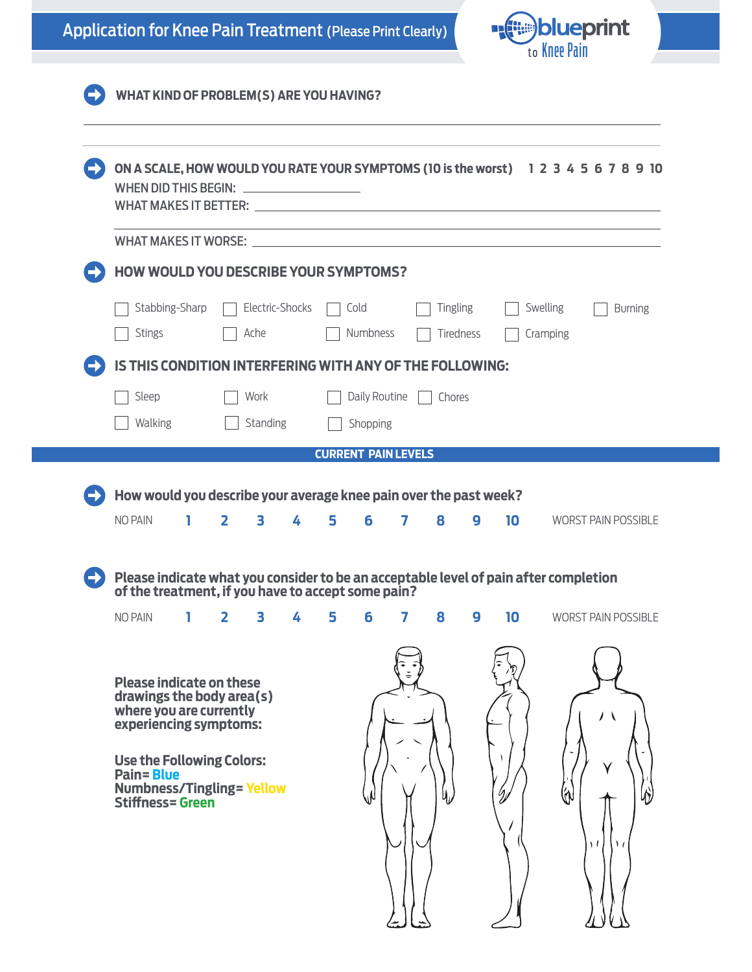



| WHAT MAKES IT WORSE: U<br>HOW WOULD YOU DESCRIBE YOUR SYMPTOMS?<br>Stabbing-Sharp<br>Electric-Shocks<br><b>Tingling</b><br>Swelling<br>Cold<br>Numbness<br><b>Stings</b><br>Ache<br>Tiredness<br>Cramping<br>IS THIS CONDITION INTERFERING WITH ANY OF THE FOLLOWING:<br>Daily Routine<br>Sleep<br>Work<br>Chores<br>Walking<br>Standing<br>Shopping<br><b>CURRENT PAIN LEVELS</b><br>How would you describe your average knee pain over the past week?<br><b>NO PAIN</b><br>$\overline{2}$<br>3<br>5<br>6<br>8<br>10<br>L.<br>4<br>7<br>9<br><b>WORST PAIN POSSIBLE</b><br>Please indicate what you consider to be an acceptable level of pain after completion<br>of the treatment, if you have to accept some pain?<br>1<br>$\overline{\mathbf{2}}$<br>3<br>5<br>7<br>8<br>9<br>10<br>4<br>6<br><b>Please indicate on these</b><br>drawings the body area(s)<br>where you are currently<br>experiencing symptoms:<br><b>Use the Following Colors:</b> | WHAT MAKES IT BETTER: THE RESERVE TO A SERVE THE RESERVE TO A SERVE THE RESERVE TO A SERVE THE RESERVE TO A SERVE |  |  | ON A SCALE, HOW WOULD YOU RATE YOUR SYMPTOMS (10 is the worst) 1 2 3 4 5 6 7 8 9 10 |
|----------------------------------------------------------------------------------------------------------------------------------------------------------------------------------------------------------------------------------------------------------------------------------------------------------------------------------------------------------------------------------------------------------------------------------------------------------------------------------------------------------------------------------------------------------------------------------------------------------------------------------------------------------------------------------------------------------------------------------------------------------------------------------------------------------------------------------------------------------------------------------------------------------------------------------------------------------|-------------------------------------------------------------------------------------------------------------------|--|--|-------------------------------------------------------------------------------------|
|                                                                                                                                                                                                                                                                                                                                                                                                                                                                                                                                                                                                                                                                                                                                                                                                                                                                                                                                                          |                                                                                                                   |  |  |                                                                                     |
|                                                                                                                                                                                                                                                                                                                                                                                                                                                                                                                                                                                                                                                                                                                                                                                                                                                                                                                                                          |                                                                                                                   |  |  |                                                                                     |
|                                                                                                                                                                                                                                                                                                                                                                                                                                                                                                                                                                                                                                                                                                                                                                                                                                                                                                                                                          |                                                                                                                   |  |  | <b>Burning</b>                                                                      |
|                                                                                                                                                                                                                                                                                                                                                                                                                                                                                                                                                                                                                                                                                                                                                                                                                                                                                                                                                          |                                                                                                                   |  |  |                                                                                     |
|                                                                                                                                                                                                                                                                                                                                                                                                                                                                                                                                                                                                                                                                                                                                                                                                                                                                                                                                                          |                                                                                                                   |  |  |                                                                                     |
|                                                                                                                                                                                                                                                                                                                                                                                                                                                                                                                                                                                                                                                                                                                                                                                                                                                                                                                                                          |                                                                                                                   |  |  |                                                                                     |
|                                                                                                                                                                                                                                                                                                                                                                                                                                                                                                                                                                                                                                                                                                                                                                                                                                                                                                                                                          |                                                                                                                   |  |  |                                                                                     |
|                                                                                                                                                                                                                                                                                                                                                                                                                                                                                                                                                                                                                                                                                                                                                                                                                                                                                                                                                          |                                                                                                                   |  |  |                                                                                     |
|                                                                                                                                                                                                                                                                                                                                                                                                                                                                                                                                                                                                                                                                                                                                                                                                                                                                                                                                                          |                                                                                                                   |  |  |                                                                                     |
|                                                                                                                                                                                                                                                                                                                                                                                                                                                                                                                                                                                                                                                                                                                                                                                                                                                                                                                                                          |                                                                                                                   |  |  |                                                                                     |
|                                                                                                                                                                                                                                                                                                                                                                                                                                                                                                                                                                                                                                                                                                                                                                                                                                                                                                                                                          |                                                                                                                   |  |  |                                                                                     |
|                                                                                                                                                                                                                                                                                                                                                                                                                                                                                                                                                                                                                                                                                                                                                                                                                                                                                                                                                          |                                                                                                                   |  |  |                                                                                     |
|                                                                                                                                                                                                                                                                                                                                                                                                                                                                                                                                                                                                                                                                                                                                                                                                                                                                                                                                                          | <b>NO PAIN</b>                                                                                                    |  |  | <b>WORST PAIN POSSIBLE</b>                                                          |
|                                                                                                                                                                                                                                                                                                                                                                                                                                                                                                                                                                                                                                                                                                                                                                                                                                                                                                                                                          |                                                                                                                   |  |  |                                                                                     |
|                                                                                                                                                                                                                                                                                                                                                                                                                                                                                                                                                                                                                                                                                                                                                                                                                                                                                                                                                          |                                                                                                                   |  |  |                                                                                     |
|                                                                                                                                                                                                                                                                                                                                                                                                                                                                                                                                                                                                                                                                                                                                                                                                                                                                                                                                                          |                                                                                                                   |  |  |                                                                                     |
|                                                                                                                                                                                                                                                                                                                                                                                                                                                                                                                                                                                                                                                                                                                                                                                                                                                                                                                                                          |                                                                                                                   |  |  |                                                                                     |
|                                                                                                                                                                                                                                                                                                                                                                                                                                                                                                                                                                                                                                                                                                                                                                                                                                                                                                                                                          |                                                                                                                   |  |  |                                                                                     |
| <b>Numbness/Tingling=Yellow</b><br>Ŋ                                                                                                                                                                                                                                                                                                                                                                                                                                                                                                                                                                                                                                                                                                                                                                                                                                                                                                                     |                                                                                                                   |  |  |                                                                                     |
| <b>Stiffness=Green</b>                                                                                                                                                                                                                                                                                                                                                                                                                                                                                                                                                                                                                                                                                                                                                                                                                                                                                                                                   | <b>Pain=Blue</b>                                                                                                  |  |  | (m                                                                                  |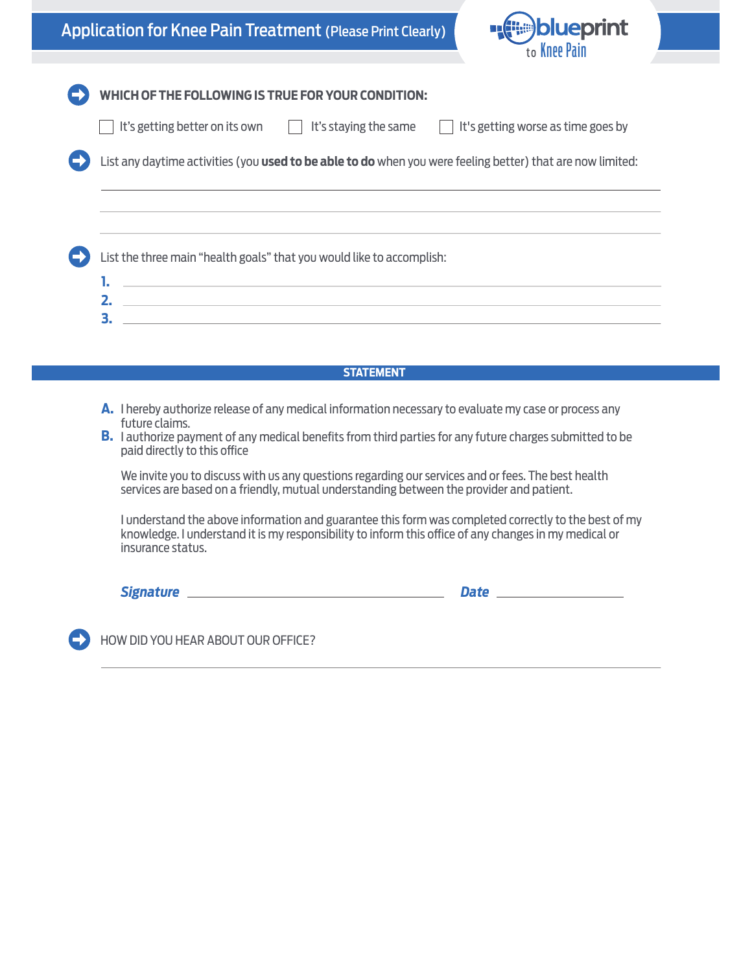



|    | List any daytime activities (you used to be able to do when you were feeling better) that are now limited:<br>List the three main "health goals" that you would like to accomplish: |  |  |  |
|----|-------------------------------------------------------------------------------------------------------------------------------------------------------------------------------------|--|--|--|
|    |                                                                                                                                                                                     |  |  |  |
|    |                                                                                                                                                                                     |  |  |  |
|    |                                                                                                                                                                                     |  |  |  |
|    |                                                                                                                                                                                     |  |  |  |
| 2. | <u> 1989 - Johann Stoff, amerikansk politiker (* 1908)</u><br><u> 1999 - Jan Salaman Salaman dan Salaman dan Salaman dan Salaman dan Salaman dan Salaman dan Salaman dan Salama</u> |  |  |  |
| 3. | <u> 1980 - Jan Samuel Barbara, martin a shekara 1980 - An tsara 1980 - An tsara 1980 - An tsara 1980 - An tsara</u>                                                                 |  |  |  |

- A. I hereby authorize release of any medical information necessary to evaluate my case or process any future claims.
- **B.** I authorize payment of any medical benefits from third parties for any future charges submitted to be paid directly to this office

We invite you to discuss with us any questions regarding our services and or fees. The best health services are based on a friendly, mutual understanding between the provider and patient.

I understand the above information and guarantee this form was completed correctly to the best of my knowledge. I understand it is my responsibility to inform this office of any changes in my medical or insurance status.

*Signature Date*

HOW DID YOU HEAR ABOUT OUR OFFICE?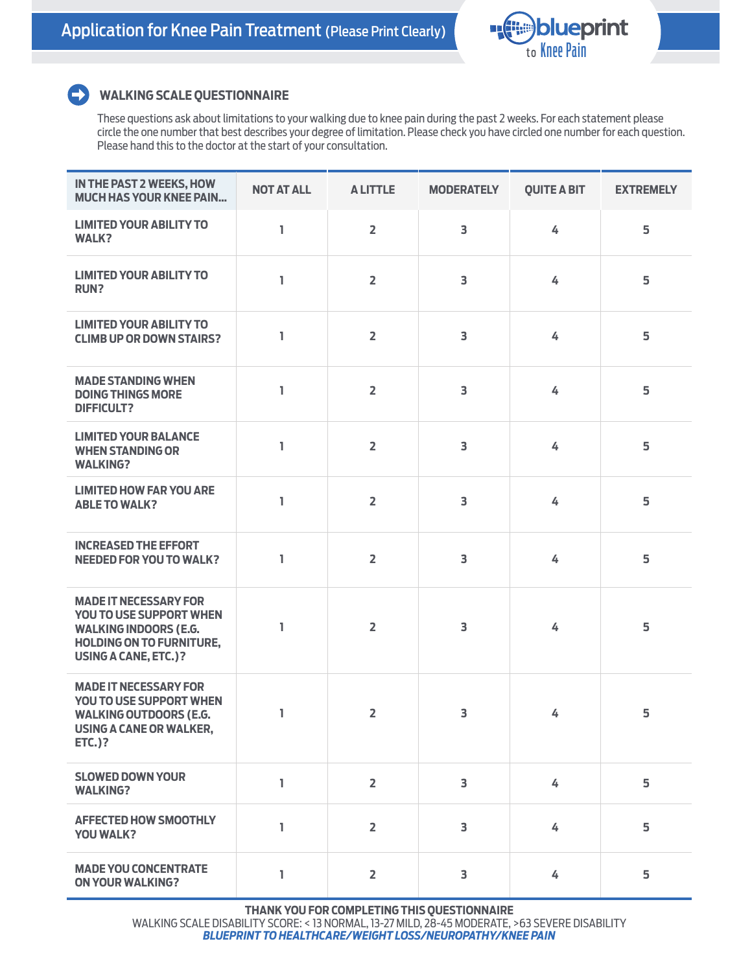

## $\blacktriangleright$

## **WALKING SCALE QUESTIONNAIRE**

These questions ask about limitations to your walking due to knee pain during the past 2 weeks. For each statement please circle the one number that best describes your degree of limitation. Please check you have circled one number for each question. Please hand this to the doctor at the start of your consultation.

| IN THE PAST 2 WEEKS, HOW<br><b>MUCH HAS YOUR KNEE PAIN</b>                                                                                         | <b>NOT AT ALL</b> | <b>ALITTLE</b> | <b>MODERATELY</b>       | <b>QUITE A BIT</b> | <b>EXTREMELY</b> |
|----------------------------------------------------------------------------------------------------------------------------------------------------|-------------------|----------------|-------------------------|--------------------|------------------|
| <b>LIMITED YOUR ABILITY TO</b><br><b>WALK?</b>                                                                                                     | I.                | $\overline{2}$ | 3                       | 4                  | 5                |
| <b>LIMITED YOUR ABILITY TO</b><br><b>RUN?</b>                                                                                                      | I.                | $\overline{2}$ | 3                       | 4                  | 5                |
| <b>LIMITED YOUR ABILITY TO</b><br><b>CLIMB UP OR DOWN STAIRS?</b>                                                                                  | ı                 | $\overline{2}$ | 3                       | 4                  | 5                |
| <b>MADE STANDING WHEN</b><br><b>DOING THINGS MORE</b><br><b>DIFFICULT?</b>                                                                         | L                 | $\overline{2}$ | 3                       | 4                  | 5                |
| <b>LIMITED YOUR BALANCE</b><br><b>WHEN STANDING OR</b><br><b>WALKING?</b>                                                                          | L                 | $\overline{2}$ | 3                       | 4                  | 5                |
| <b>LIMITED HOW FAR YOU ARE</b><br><b>ABLE TO WALK?</b>                                                                                             | I.                | $\overline{2}$ | 3                       | 4                  | 5                |
| <b>INCREASED THE EFFORT</b><br><b>NEEDED FOR YOU TO WALK?</b>                                                                                      | ı                 | $\overline{2}$ | 3                       | 4                  | 5                |
| <b>MADE IT NECESSARY FOR</b><br>YOU TO USE SUPPORT WHEN<br><b>WALKING INDOORS (E.G.</b><br><b>HOLDING ON TO FURNITURE,</b><br>USING A CANE, ETC.)? | ı                 | $\overline{2}$ | 3                       | 4                  | 5                |
| <b>MADE IT NECESSARY FOR</b><br>YOU TO USE SUPPORT WHEN<br><b>WALKING OUTDOORS (E.G.</b><br>USING A CANE OR WALKER,<br><b>ETC.)?</b>               | L                 | $\overline{2}$ | 3                       | 4                  | 5                |
| <b>SLOWED DOWN YOUR</b><br><b>WALKING?</b>                                                                                                         | 1                 | $\overline{2}$ | $\overline{\mathbf{3}}$ | 4                  | 5                |
| <b>AFFECTED HOW SMOOTHLY</b><br><b>YOU WALK?</b>                                                                                                   | I.                | $\overline{2}$ | $\overline{3}$          | 4                  | 5                |
| <b>MADE YOU CONCENTRATE</b><br><b>ON YOUR WALKING?</b>                                                                                             | L                 | $\overline{2}$ | 3                       | 4                  | 5                |

**THANK YOU FOR COMPLETING THIS QUESTIONNAIRE**

WALKING SCALE DISABILITY SCORE: < 13 NORMAL, 13-27 MILD, 28-45 MODERATE, >63 SEVERE DISABILITY *BLUEPRINT TO HEALTHCARE/WEIGHT LOSS/NEUROPATHY/KNEE PAIN*